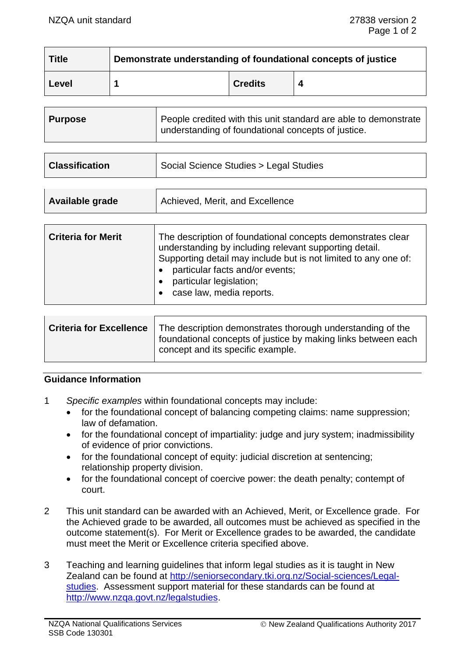| <b>Title</b> | Demonstrate understanding of foundational concepts of justice |                |  |
|--------------|---------------------------------------------------------------|----------------|--|
| Level        |                                                               | <b>Credits</b> |  |

| <b>Classification</b> | Social Science Studies > Legal Studies |
|-----------------------|----------------------------------------|
|                       |                                        |

| Achieved, Merit, and Excellence<br>Available grade |  |
|----------------------------------------------------|--|
|----------------------------------------------------|--|

| <b>Criteria for Merit</b> | The description of foundational concepts demonstrates clear<br>understanding by including relevant supporting detail.<br>Supporting detail may include but is not limited to any one of:<br>particular facts and/or events;<br>particular legislation;<br>case law, media reports. |
|---------------------------|------------------------------------------------------------------------------------------------------------------------------------------------------------------------------------------------------------------------------------------------------------------------------------|
|---------------------------|------------------------------------------------------------------------------------------------------------------------------------------------------------------------------------------------------------------------------------------------------------------------------------|

| <b>Criteria for Excellence</b> | The description demonstrates thorough understanding of the<br>foundational concepts of justice by making links between each<br>concept and its specific example. |
|--------------------------------|------------------------------------------------------------------------------------------------------------------------------------------------------------------|
|                                |                                                                                                                                                                  |

# **Guidance Information**

- 1 *Specific examples* within foundational concepts may include:
	- for the foundational concept of balancing competing claims: name suppression; law of defamation.
	- for the foundational concept of impartiality: judge and jury system; inadmissibility of evidence of prior convictions.
	- for the foundational concept of equity: judicial discretion at sentencing; relationship property division.
	- for the foundational concept of coercive power: the death penalty; contempt of court.
- 2 This unit standard can be awarded with an Achieved, Merit, or Excellence grade. For the Achieved grade to be awarded, all outcomes must be achieved as specified in the outcome statement(s). For Merit or Excellence grades to be awarded, the candidate must meet the Merit or Excellence criteria specified above.
- 3 Teaching and learning guidelines that inform legal studies as it is taught in New Zealand can be found at [http://seniorsecondary.tki.org.nz/Social-sciences/Legal](http://seniorsecondary.tki.org.nz/Social-sciences/Legal-studies)[studies.](http://seniorsecondary.tki.org.nz/Social-sciences/Legal-studies) Assessment support material for these standards can be found at [http://www.nzqa.govt.nz/legalstudies.](http://www.nzqa.govt.nz/legalstudies)